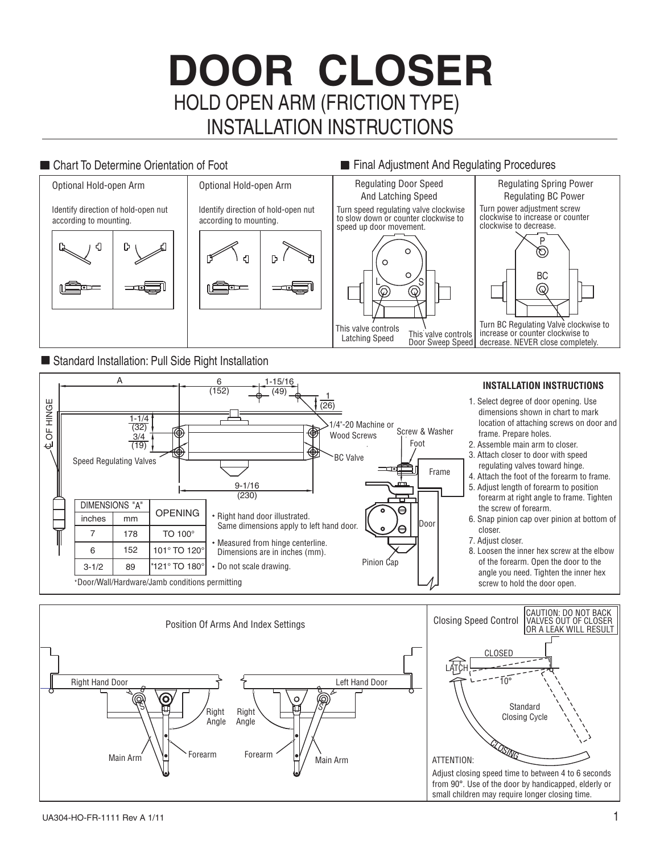# HOLD OPEN ARM (FRICTION TYPE) **DOOR CLOSER** INSTALLATION INSTRUCTIONS

## ■ Chart To Determine Orientation of Foot Final Adjustment And Regulating Procedures



### ■ Standard Installation: Pull Side Right Installation